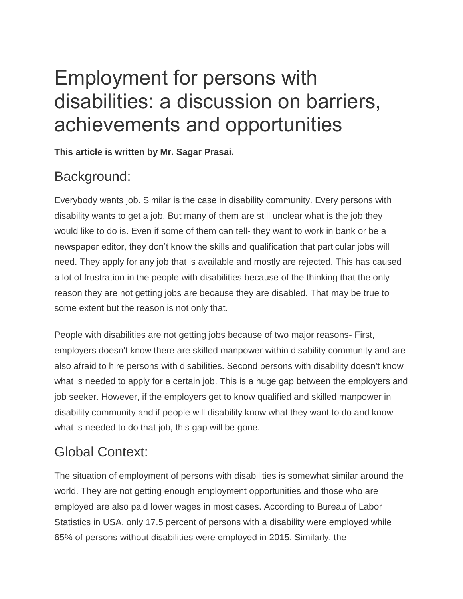# Employment for persons with disabilities: a discussion on barriers, achievements and opportunities

**This article is written by Mr. Sagar Prasai.**

#### Background:

Everybody wants job. Similar is the case in disability community. Every persons with disability wants to get a job. But many of them are still unclear what is the job they would like to do is. Even if some of them can tell- they want to work in bank or be a newspaper editor, they don't know the skills and qualification that particular jobs will need. They apply for any job that is available and mostly are rejected. This has caused a lot of frustration in the people with disabilities because of the thinking that the only reason they are not getting jobs are because they are disabled. That may be true to some extent but the reason is not only that.

People with disabilities are not getting jobs because of two major reasons- First, employers doesn't know there are skilled manpower within disability community and are also afraid to hire persons with disabilities. Second persons with disability doesn't know what is needed to apply for a certain job. This is a huge gap between the employers and job seeker. However, if the employers get to know qualified and skilled manpower in disability community and if people will disability know what they want to do and know what is needed to do that job, this gap will be gone.

## Global Context:

The situation of employment of persons with disabilities is somewhat similar around the world. They are not getting enough employment opportunities and those who are employed are also paid lower wages in most cases. According to Bureau of Labor Statistics in USA, only 17.5 percent of persons with a disability were employed while 65% of persons without disabilities were employed in 2015. Similarly, the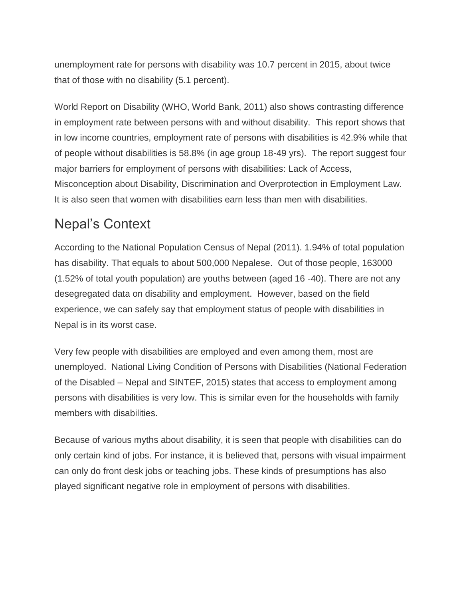unemployment rate for persons with disability was 10.7 percent in 2015, about twice that of those with no disability (5.1 percent).

World Report on Disability (WHO, World Bank, 2011) also shows contrasting difference in employment rate between persons with and without disability. This report shows that in low income countries, employment rate of persons with disabilities is 42.9% while that of people without disabilities is 58.8% (in age group 18-49 yrs). The report suggest four major barriers for employment of persons with disabilities: Lack of Access, Misconception about Disability, Discrimination and Overprotection in Employment Law. It is also seen that women with disabilities earn less than men with disabilities.

#### Nepal's Context

According to the National Population Census of Nepal (2011). 1.94% of total population has disability. That equals to about 500,000 Nepalese. Out of those people, 163000 (1.52% of total youth population) are youths between (aged 16 -40). There are not any desegregated data on disability and employment. However, based on the field experience, we can safely say that employment status of people with disabilities in Nepal is in its worst case.

Very few people with disabilities are employed and even among them, most are unemployed. National Living Condition of Persons with Disabilities (National Federation of the Disabled – Nepal and SINTEF, 2015) states that access to employment among persons with disabilities is very low. This is similar even for the households with family members with disabilities.

Because of various myths about disability, it is seen that people with disabilities can do only certain kind of jobs. For instance, it is believed that, persons with visual impairment can only do front desk jobs or teaching jobs. These kinds of presumptions has also played significant negative role in employment of persons with disabilities.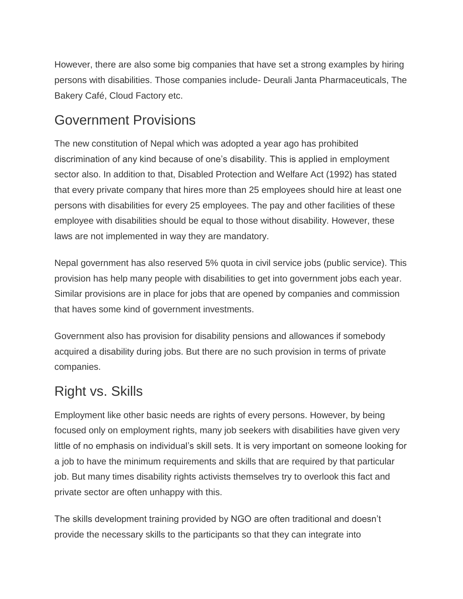However, there are also some big companies that have set a strong examples by hiring persons with disabilities. Those companies include- Deurali Janta Pharmaceuticals, The Bakery Café, Cloud Factory etc.

#### Government Provisions

The new constitution of Nepal which was adopted a year ago has prohibited discrimination of any kind because of one's disability. This is applied in employment sector also. In addition to that, Disabled Protection and Welfare Act (1992) has stated that every private company that hires more than 25 employees should hire at least one persons with disabilities for every 25 employees. The pay and other facilities of these employee with disabilities should be equal to those without disability. However, these laws are not implemented in way they are mandatory.

Nepal government has also reserved 5% quota in civil service jobs (public service). This provision has help many people with disabilities to get into government jobs each year. Similar provisions are in place for jobs that are opened by companies and commission that haves some kind of government investments.

Government also has provision for disability pensions and allowances if somebody acquired a disability during jobs. But there are no such provision in terms of private companies.

#### Right vs. Skills

Employment like other basic needs are rights of every persons. However, by being focused only on employment rights, many job seekers with disabilities have given very little of no emphasis on individual's skill sets. It is very important on someone looking for a job to have the minimum requirements and skills that are required by that particular job. But many times disability rights activists themselves try to overlook this fact and private sector are often unhappy with this.

The skills development training provided by NGO are often traditional and doesn't provide the necessary skills to the participants so that they can integrate into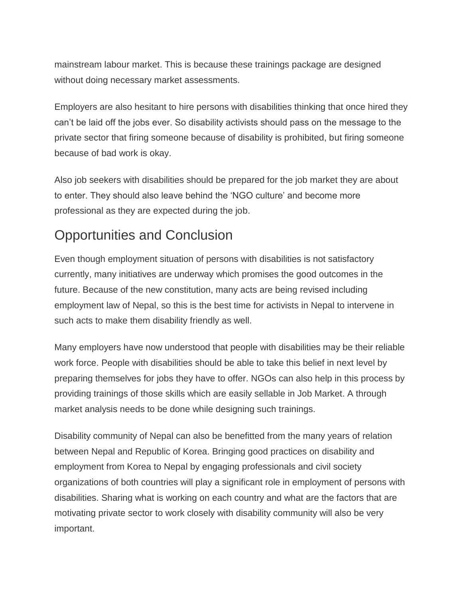mainstream labour market. This is because these trainings package are designed without doing necessary market assessments.

Employers are also hesitant to hire persons with disabilities thinking that once hired they can't be laid off the jobs ever. So disability activists should pass on the message to the private sector that firing someone because of disability is prohibited, but firing someone because of bad work is okay.

Also job seekers with disabilities should be prepared for the job market they are about to enter. They should also leave behind the 'NGO culture' and become more professional as they are expected during the job.

### Opportunities and Conclusion

Even though employment situation of persons with disabilities is not satisfactory currently, many initiatives are underway which promises the good outcomes in the future. Because of the new constitution, many acts are being revised including employment law of Nepal, so this is the best time for activists in Nepal to intervene in such acts to make them disability friendly as well.

Many employers have now understood that people with disabilities may be their reliable work force. People with disabilities should be able to take this belief in next level by preparing themselves for jobs they have to offer. NGOs can also help in this process by providing trainings of those skills which are easily sellable in Job Market. A through market analysis needs to be done while designing such trainings.

Disability community of Nepal can also be benefitted from the many years of relation between Nepal and Republic of Korea. Bringing good practices on disability and employment from Korea to Nepal by engaging professionals and civil society organizations of both countries will play a significant role in employment of persons with disabilities. Sharing what is working on each country and what are the factors that are motivating private sector to work closely with disability community will also be very important.